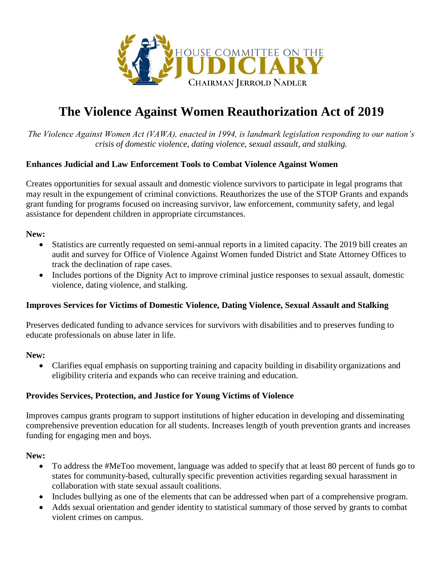

# **The Violence Against Women Reauthorization Act of 2019**

*The Violence Against Women Act (VAWA), enacted in 1994, is landmark legislation responding to our nation's crisis of domestic violence, dating violence, sexual assault, and stalking.*

## **Enhances Judicial and Law Enforcement Tools to Combat Violence Against Women**

Creates opportunities for sexual assault and domestic violence survivors to participate in legal programs that may result in the expungement of criminal convictions. Reauthorizes the use of the STOP Grants and expands grant funding for programs focused on increasing survivor, law enforcement, community safety, and legal assistance for dependent children in appropriate circumstances.

## **New:**

- Statistics are currently requested on semi-annual reports in a limited capacity. The 2019 bill creates an audit and survey for Office of Violence Against Women funded District and State Attorney Offices to track the declination of rape cases.
- Includes portions of the Dignity Act to improve criminal justice responses to sexual assault, domestic violence, dating violence, and stalking.

#### **Improves Services for Victims of Domestic Violence, Dating Violence, Sexual Assault and Stalking**

Preserves dedicated funding to advance services for survivors with disabilities and to preserves funding to educate professionals on abuse later in life.

#### **New:**

 Clarifies equal emphasis on supporting training and capacity building in disability organizations and eligibility criteria and expands who can receive training and education.

## **Provides Services, Protection, and Justice for Young Victims of Violence**

Improves campus grants program to support institutions of higher education in developing and disseminating comprehensive prevention education for all students. Increases length of youth prevention grants and increases funding for engaging men and boys.

#### **New:**

- To address the #MeToo movement, language was added to specify that at least 80 percent of funds go to states for community-based, culturally specific prevention activities regarding sexual harassment in collaboration with state sexual assault coalitions.
- Includes bullying as one of the elements that can be addressed when part of a comprehensive program.
- Adds sexual orientation and gender identity to statistical summary of those served by grants to combat violent crimes on campus.